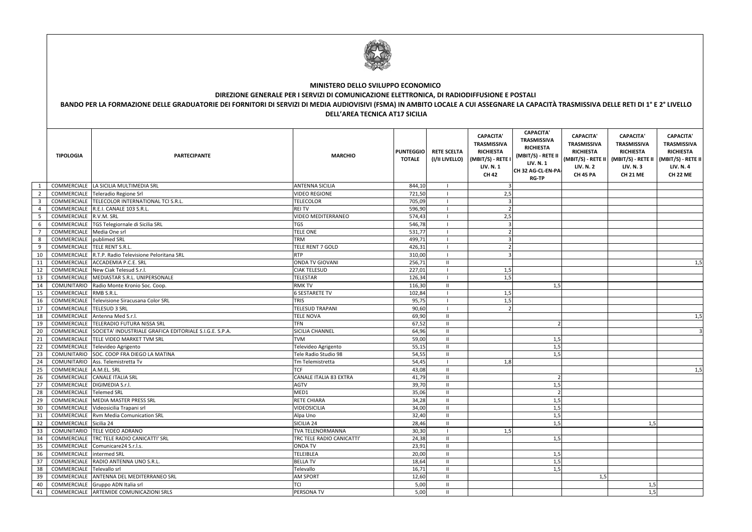|                         | <b>MINISTERO DELLO SVILUPPO ECONOMICO</b><br>DIREZIONE GENERALE PER I SERVIZI DI COMUNICAZIONE ELETTRONICA, DI RADIODIFFUSIONE E POSTALI<br>BANDO PER LA FORMAZIONE DELLE GRADUATORIE DEI FORNITORI DI SERVIZI DI MEDIA AUDIOVISIVI (FSMA) IN AMBITO LOCALE A CUI ASSEGNARE LA CAPACITÀ TRASMISSIVA DELLE RETI DI 1° E 2° LIVELLO<br><b>DELL'AREA TECNICA AT17 SICILIA</b> |                                                                     |                                     |                                   |                                      |                                                                                                                     |                                                                                                                                           |                                                                                                                           |                                                                                                                                             |                                                                                                   |  |
|-------------------------|----------------------------------------------------------------------------------------------------------------------------------------------------------------------------------------------------------------------------------------------------------------------------------------------------------------------------------------------------------------------------|---------------------------------------------------------------------|-------------------------------------|-----------------------------------|--------------------------------------|---------------------------------------------------------------------------------------------------------------------|-------------------------------------------------------------------------------------------------------------------------------------------|---------------------------------------------------------------------------------------------------------------------------|---------------------------------------------------------------------------------------------------------------------------------------------|---------------------------------------------------------------------------------------------------|--|
|                         | <b>TIPOLOGIA</b>                                                                                                                                                                                                                                                                                                                                                           | <b>PARTECIPANTE</b>                                                 | <b>MARCHIO</b>                      | <b>PUNTEGGIO</b><br><b>TOTALE</b> | <b>RETE SCELTA</b><br>(I/II LIVELLO) | <b>CAPACITA'</b><br><b>TRASMISSIVA</b><br><b>RICHIESTA</b><br>(MBIT/S) - RETE I<br><b>LIV. N. 1</b><br><b>CH 42</b> | <b>CAPACITA'</b><br><b>TRASMISSIVA</b><br><b>RICHIESTA</b><br>(MBIT/S) - RETE II<br><b>LIV. N. 1</b><br>CH 32 AG-CL-EN-PA<br><b>RG-TP</b> | <b>CAPACITA'</b><br><b>TRASMISSIVA</b><br><b>RICHIESTA</b><br>$(MBIT/S) - REFE II$<br><b>LIV. N. 2</b><br><b>CH 45 PA</b> | <b>CAPACITA'</b><br><b>TRASMISSIVA</b><br><b>RICHIESTA</b><br>(MBIT/S) - RETE II   (MBIT/S) - RETE II<br><b>LIV. N.3</b><br><b>CH 21 ME</b> | <b>CAPACITA'</b><br><b>TRASMISSIVA</b><br><b>RICHIESTA</b><br><b>LIV. N. 4</b><br><b>CH 22 ME</b> |  |
|                         | COMMERCIALE                                                                                                                                                                                                                                                                                                                                                                | LA SICILIA MULTIMEDIA SRL                                           | <b>ANTENNA SICILIA</b>              | 844,10                            |                                      |                                                                                                                     |                                                                                                                                           |                                                                                                                           |                                                                                                                                             |                                                                                                   |  |
| $\overline{2}$          | COMMERCIALE                                                                                                                                                                                                                                                                                                                                                                | Teleradio Regione Srl                                               | <b>VIDEO REGIONE</b>                | 721,50                            |                                      | 2,5                                                                                                                 |                                                                                                                                           |                                                                                                                           |                                                                                                                                             |                                                                                                   |  |
| $\overline{\mathbf{3}}$ | COMMERCIALE                                                                                                                                                                                                                                                                                                                                                                | TELECOLOR INTERNATIONAL TCI S.R.L.                                  | <b>TELECOLOR</b>                    | 705,09                            |                                      |                                                                                                                     |                                                                                                                                           |                                                                                                                           |                                                                                                                                             |                                                                                                   |  |
| $\overline{4}$          | COMMERCIALE                                                                                                                                                                                                                                                                                                                                                                | R.E.I. CANALE 103 S.R.L.<br>R.V.M. SRL                              | <b>REI TV</b><br>VIDEO MEDITERRANEO | 596,90<br>574,43                  |                                      |                                                                                                                     |                                                                                                                                           |                                                                                                                           |                                                                                                                                             |                                                                                                   |  |
| $5\phantom{.0}$<br>6    | COMMERCIALE<br>COMMERCIALE                                                                                                                                                                                                                                                                                                                                                 | TGS Telegiornale di Sicilia SRL                                     | TGS                                 | 546,78                            |                                      | 2,5                                                                                                                 |                                                                                                                                           |                                                                                                                           |                                                                                                                                             |                                                                                                   |  |
| $\overline{7}$          | COMMERCIALE                                                                                                                                                                                                                                                                                                                                                                | Media One srl                                                       | TELE ONE                            | 531,77                            |                                      |                                                                                                                     |                                                                                                                                           |                                                                                                                           |                                                                                                                                             |                                                                                                   |  |
| 8                       | COMMERCIALE                                                                                                                                                                                                                                                                                                                                                                | publimed SRL                                                        | <b>TRM</b>                          | 499,71                            |                                      |                                                                                                                     |                                                                                                                                           |                                                                                                                           |                                                                                                                                             |                                                                                                   |  |
| 9                       | COMMERCIALE                                                                                                                                                                                                                                                                                                                                                                | TELE RENT S.R.L.                                                    | TELE RENT 7 GOLD                    | 426,31                            |                                      |                                                                                                                     |                                                                                                                                           |                                                                                                                           |                                                                                                                                             |                                                                                                   |  |
| 10                      | COMMERCIALE                                                                                                                                                                                                                                                                                                                                                                | R.T.P. Radio Televisione Peloritana SRL                             | <b>RTP</b>                          | 310,00                            |                                      |                                                                                                                     |                                                                                                                                           |                                                                                                                           |                                                                                                                                             |                                                                                                   |  |
| 11                      |                                                                                                                                                                                                                                                                                                                                                                            | COMMERCIALE ACCADEMIA P.C.E. SRL                                    | <b>ONDA TV GIOVANI</b>              | 256,71                            | $\mathbf{I}$                         |                                                                                                                     |                                                                                                                                           |                                                                                                                           |                                                                                                                                             | 1,5                                                                                               |  |
| 12                      |                                                                                                                                                                                                                                                                                                                                                                            | COMMERCIALE New Ciak Telesud S.r.l.                                 | <b>CIAK TELESUD</b>                 | 227,01                            |                                      | 1,5                                                                                                                 |                                                                                                                                           |                                                                                                                           |                                                                                                                                             |                                                                                                   |  |
| 13                      | COMMERCIALE                                                                                                                                                                                                                                                                                                                                                                | MEDIASTAR S.R.L. UNIPERSONALE                                       | TELESTAR                            | 126,34                            |                                      | 1,5                                                                                                                 |                                                                                                                                           |                                                                                                                           |                                                                                                                                             |                                                                                                   |  |
| 14                      | COMUNITARIO                                                                                                                                                                                                                                                                                                                                                                | Radio Monte Kronio Soc. Coop.                                       | <b>RMK TV</b>                       | 116,30                            | -II                                  |                                                                                                                     | 1,5                                                                                                                                       |                                                                                                                           |                                                                                                                                             |                                                                                                   |  |
| 15                      | COMMERCIALE                                                                                                                                                                                                                                                                                                                                                                | RMB S.R.L.                                                          | <b>6 SESTARETE TV</b>               | 102,84                            |                                      | 1,5                                                                                                                 |                                                                                                                                           |                                                                                                                           |                                                                                                                                             |                                                                                                   |  |
| 16                      | COMMERCIALE                                                                                                                                                                                                                                                                                                                                                                | Televisione Siracusana Color SRL                                    | <b>TRIS</b>                         | 95,75                             |                                      | 1,5                                                                                                                 |                                                                                                                                           |                                                                                                                           |                                                                                                                                             |                                                                                                   |  |
| 17                      | COMMERCIALE TELESUD 3 SRL                                                                                                                                                                                                                                                                                                                                                  |                                                                     | TELESUD TRAPANI                     | 90,60                             |                                      |                                                                                                                     |                                                                                                                                           |                                                                                                                           |                                                                                                                                             |                                                                                                   |  |
| 18                      |                                                                                                                                                                                                                                                                                                                                                                            | COMMERCIALE Antenna Med S.r.l.                                      | <b>TELE NOVA</b>                    | 69,90                             | -II                                  |                                                                                                                     |                                                                                                                                           |                                                                                                                           |                                                                                                                                             | 1,5                                                                                               |  |
| 19                      |                                                                                                                                                                                                                                                                                                                                                                            | COMMERCIALE TELERADIO FUTURA NISSA SRL                              | <b>TFN</b>                          | 67,52                             | H                                    |                                                                                                                     |                                                                                                                                           |                                                                                                                           |                                                                                                                                             |                                                                                                   |  |
| 20                      |                                                                                                                                                                                                                                                                                                                                                                            | COMMERCIALE SOCIETA' INDUSTRIALE GRAFICA EDITORIALE S.I.G.E. S.P.A. | SICILIA CHANNEL                     | 64,96                             | $\mathbf{H}$                         |                                                                                                                     |                                                                                                                                           |                                                                                                                           |                                                                                                                                             | 3                                                                                                 |  |
| 21                      |                                                                                                                                                                                                                                                                                                                                                                            | COMMERCIALE TELE VIDEO MARKET TVM SRL                               | <b>TVM</b>                          | 59,00                             | $\mathbf{H}$                         |                                                                                                                     | 1,5                                                                                                                                       |                                                                                                                           |                                                                                                                                             |                                                                                                   |  |
| 22                      |                                                                                                                                                                                                                                                                                                                                                                            | COMMERCIALE Televideo Agrigento                                     | Televideo Agrigento                 | 55,15                             | $\mathbf{H}$                         |                                                                                                                     | 1,5                                                                                                                                       |                                                                                                                           |                                                                                                                                             |                                                                                                   |  |
| 23<br>24                |                                                                                                                                                                                                                                                                                                                                                                            | COMUNITARIO SOC. COOP FRA DIEGO LA MATINA                           | Tele Radio Studio 98                | 54,55                             | $\mathbf{H}$                         |                                                                                                                     | 1,5                                                                                                                                       |                                                                                                                           |                                                                                                                                             |                                                                                                   |  |
| 25                      | COMMERCIALE A.M.EL. SRL                                                                                                                                                                                                                                                                                                                                                    | COMUNITARIO Ass. Telemistretta Tv                                   | Tm Telemistretta<br>TCF             | 54,45<br>43,08                    | $\Box$<br>$\mathbf{H}$               | 1,8                                                                                                                 |                                                                                                                                           |                                                                                                                           |                                                                                                                                             |                                                                                                   |  |
| 26                      |                                                                                                                                                                                                                                                                                                                                                                            | COMMERCIALE CANALE ITALIA SRL                                       | CANALE ITALIA 83 EXTRA              | 41,79                             | $\mathbf{H}$                         |                                                                                                                     |                                                                                                                                           |                                                                                                                           |                                                                                                                                             | 1,5                                                                                               |  |
| 27                      | COMMERCIALE DIGIMEDIA S.r.l.                                                                                                                                                                                                                                                                                                                                               |                                                                     | AGTV                                | 39,70                             | $\mathbf{H}$                         |                                                                                                                     | 1,5                                                                                                                                       |                                                                                                                           |                                                                                                                                             |                                                                                                   |  |
| 28                      | COMMERCIALE Telemed SRL                                                                                                                                                                                                                                                                                                                                                    |                                                                     | MED1                                | 35,06                             | $\mathbf{H}$                         |                                                                                                                     |                                                                                                                                           |                                                                                                                           |                                                                                                                                             |                                                                                                   |  |
| 29                      |                                                                                                                                                                                                                                                                                                                                                                            | COMMERCIALE MEDIA MASTER PRESS SRL                                  | RETE CHIARA                         | 34,28                             | $\mathbf{I}$                         |                                                                                                                     | 1,5                                                                                                                                       |                                                                                                                           |                                                                                                                                             |                                                                                                   |  |
| 30                      |                                                                                                                                                                                                                                                                                                                                                                            | COMMERCIALE Videosicilia Trapani srl                                | <b>VIDEOSICILIA</b>                 | 34,00                             | $\mathbf{H}$                         |                                                                                                                     | 1,5                                                                                                                                       |                                                                                                                           |                                                                                                                                             |                                                                                                   |  |
| $\overline{31}$         |                                                                                                                                                                                                                                                                                                                                                                            | COMMERCIALE Rvm Media Comunication SRL                              | Alpa Uno                            | 32,40                             | $\mathbf{I}$                         |                                                                                                                     | 1,5                                                                                                                                       |                                                                                                                           |                                                                                                                                             |                                                                                                   |  |
| 32                      | COMMERCIALE Sicilia 24                                                                                                                                                                                                                                                                                                                                                     |                                                                     | SICILIA 24                          | 28,46                             | $\mathbf{I}$                         |                                                                                                                     | 1,5                                                                                                                                       |                                                                                                                           | 1,5                                                                                                                                         |                                                                                                   |  |
| 33                      |                                                                                                                                                                                                                                                                                                                                                                            | COMUNITARIO TELE VIDEO ADRANO                                       | <b>TVA TELENORMANNA</b>             | 30,30                             |                                      | 1,5                                                                                                                 |                                                                                                                                           |                                                                                                                           |                                                                                                                                             |                                                                                                   |  |
| 34                      |                                                                                                                                                                                                                                                                                                                                                                            | COMMERCIALE TRC TELE RADIO CANICATTI' SRL                           | TRC TELE RADIO CANICATTI'           | 24,38                             | $\parallel$                          |                                                                                                                     | 1,5                                                                                                                                       |                                                                                                                           |                                                                                                                                             |                                                                                                   |  |
| 35                      |                                                                                                                                                                                                                                                                                                                                                                            | COMMERCIALE Comunicare24 S.r.l.s.                                   | <b>ONDA TV</b>                      | 23,91                             | $\mathbf{H}$                         |                                                                                                                     |                                                                                                                                           |                                                                                                                           |                                                                                                                                             |                                                                                                   |  |
| 36                      | COMMERCIALE intermed SRL                                                                                                                                                                                                                                                                                                                                                   |                                                                     | <b>TELEIBLEA</b>                    | 20,00                             | H                                    |                                                                                                                     | 1,5                                                                                                                                       |                                                                                                                           |                                                                                                                                             |                                                                                                   |  |
| 37                      |                                                                                                                                                                                                                                                                                                                                                                            | COMMERCIALE RADIO ANTENNA UNO S.R.L.                                | <b>BELLA TV</b>                     | 18,64                             | $\mathbf{I}$                         |                                                                                                                     | 1,5                                                                                                                                       |                                                                                                                           |                                                                                                                                             |                                                                                                   |  |
| 38                      | COMMERCIALE                                                                                                                                                                                                                                                                                                                                                                | Televallo srl                                                       | Televallo                           | 16,71                             | $\mathbf{I}$                         |                                                                                                                     | 1,5                                                                                                                                       |                                                                                                                           |                                                                                                                                             |                                                                                                   |  |
| 39                      | COMMERCIALE                                                                                                                                                                                                                                                                                                                                                                | ANTENNA DEL MEDITERRANEO SRL                                        | <b>AM SPORT</b>                     | 12,60                             | $\mathbf{I}$                         |                                                                                                                     |                                                                                                                                           | 1,5                                                                                                                       |                                                                                                                                             |                                                                                                   |  |
| 40                      |                                                                                                                                                                                                                                                                                                                                                                            | COMMERCIALE Gruppo ADN Italia srl                                   | TCI                                 | 5,00                              | $\mathbf{I}$                         |                                                                                                                     |                                                                                                                                           |                                                                                                                           | 1,5                                                                                                                                         |                                                                                                   |  |
| 41                      |                                                                                                                                                                                                                                                                                                                                                                            | COMMERCIALE ARTEMIDE COMUNICAZIONI SRLS                             | PERSONA TV                          | 5,00                              | $\mathbf{H}$                         |                                                                                                                     |                                                                                                                                           |                                                                                                                           | 1,5                                                                                                                                         |                                                                                                   |  |



## **MINISTERO DELLO SVILUPPO ECONOMICO**